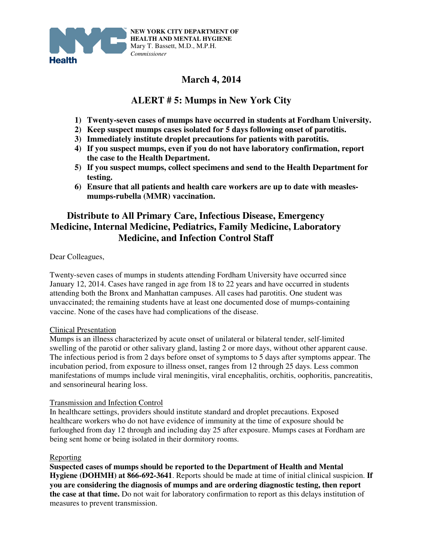

# **March 4, 2014**

## **ALERT # 5: Mumps in New York City**

- **1) Twenty-seven cases of mumps have occurred in students at Fordham University.**
- **2) Keep suspect mumps cases isolated for 5 days following onset of parotitis.**
- **3) Immediately institute droplet precautions for patients with parotitis.**
- **4) If you suspect mumps, even if you do not have laboratory confirmation, report the case to the Health Department.**
- **5) If you suspect mumps, collect specimens and send to the Health Department for testing.**
- **6) Ensure that all patients and health care workers are up to date with measlesmumps-rubella (MMR) vaccination.**

## **Distribute to All Primary Care, Infectious Disease, Emergency Medicine, Internal Medicine, Pediatrics, Family Medicine, Laboratory Medicine, and Infection Control Staff**

Dear Colleagues,

Twenty-seven cases of mumps in students attending Fordham University have occurred since January 12, 2014. Cases have ranged in age from 18 to 22 years and have occurred in students attending both the Bronx and Manhattan campuses. All cases had parotitis. One student was unvaccinated; the remaining students have at least one documented dose of mumps-containing vaccine. None of the cases have had complications of the disease.

### Clinical Presentation

Mumps is an illness characterized by acute onset of unilateral or bilateral tender, self-limited swelling of the parotid or other salivary gland, lasting 2 or more days, without other apparent cause. The infectious period is from 2 days before onset of symptoms to 5 days after symptoms appear. The incubation period, from exposure to illness onset, ranges from 12 through 25 days. Less common manifestations of mumps include viral meningitis, viral encephalitis, orchitis, oophoritis, pancreatitis, and sensorineural hearing loss.

### Transmission and Infection Control

In healthcare settings, providers should institute standard and droplet precautions. Exposed healthcare workers who do not have evidence of immunity at the time of exposure should be furloughed from day 12 through and including day 25 after exposure. Mumps cases at Fordham are being sent home or being isolated in their dormitory rooms.

### **Reporting**

**Suspected cases of mumps should be reported to the Department of Health and Mental Hygiene (DOHMH) at 866-692-3641**. Reports should be made at time of initial clinical suspicion. **If you are considering the diagnosis of mumps and are ordering diagnostic testing, then report the case at that time.** Do not wait for laboratory confirmation to report as this delays institution of measures to prevent transmission.